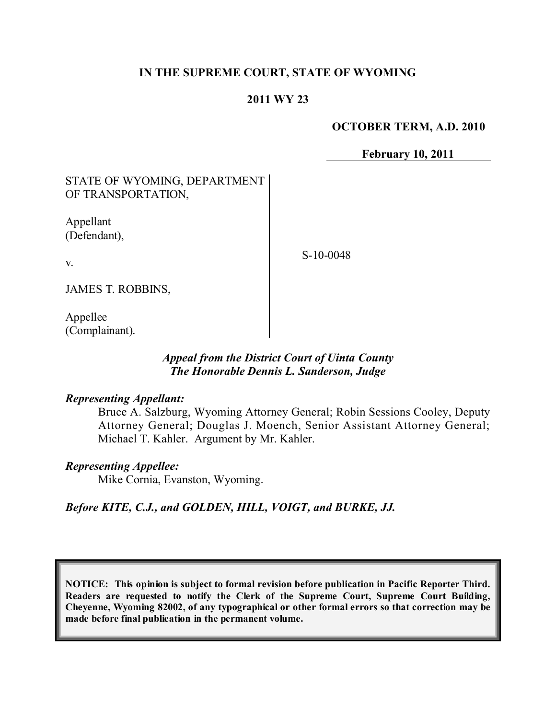## **IN THE SUPREME COURT, STATE OF WYOMING**

## **2011 WY 23**

#### **OCTOBER TERM, A.D. 2010**

**February 10, 2011**

# STATE OF WYOMING, DEPARTMENT OF TRANSPORTATION,

Appellant (Defendant),

S-10-0048

v.

JAMES T. ROBBINS,

Appellee (Complainant).

## *Appeal from the District Court of Uinta County The Honorable Dennis L. Sanderson, Judge*

### *Representing Appellant:*

Bruce A. Salzburg, Wyoming Attorney General; Robin Sessions Cooley, Deputy Attorney General; Douglas J. Moench, Senior Assistant Attorney General; Michael T. Kahler. Argument by Mr. Kahler.

### *Representing Appellee:*

Mike Cornia, Evanston, Wyoming.

## *Before KITE, C.J., and GOLDEN, HILL, VOIGT, and BURKE, JJ.*

**NOTICE: This opinion is subject to formal revision before publication in Pacific Reporter Third. Readers are requested to notify the Clerk of the Supreme Court, Supreme Court Building, Cheyenne, Wyoming 82002, of any typographical or other formal errors so that correction may be made before final publication in the permanent volume.**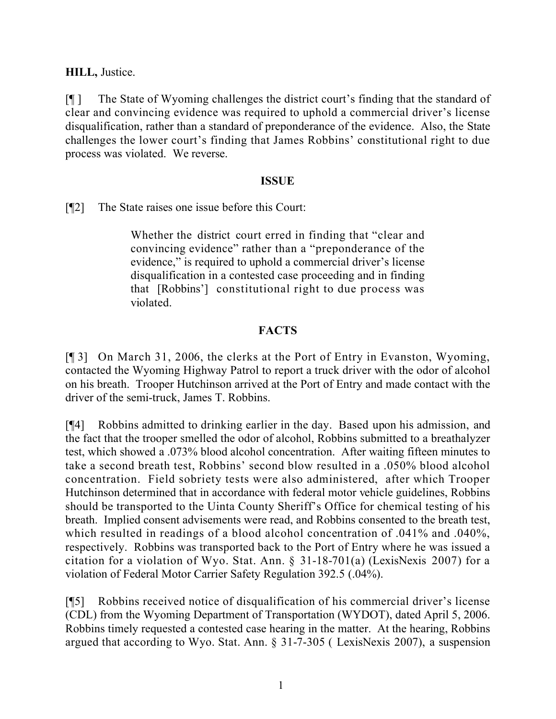## **HILL,** Justice.

[¶ ] The State of Wyoming challenges the district court's finding that the standard of clear and convincing evidence was required to uphold a commercial driver's license disqualification, rather than a standard of preponderance of the evidence. Also, the State challenges the lower court's finding that James Robbins' constitutional right to due process was violated. We reverse.

## **ISSUE**

[¶2] The State raises one issue before this Court:

Whether the district court erred in finding that "clear and convincing evidence" rather than a "preponderance of the evidence," is required to uphold a commercial driver's license disqualification in a contested case proceeding and in finding that [Robbins'] constitutional right to due process was violated.

# **FACTS**

[¶ 3] On March 31, 2006, the clerks at the Port of Entry in Evanston, Wyoming, contacted the Wyoming Highway Patrol to report a truck driver with the odor of alcohol on his breath. Trooper Hutchinson arrived at the Port of Entry and made contact with the driver of the semi-truck, James T. Robbins.

[¶4] Robbins admitted to drinking earlier in the day. Based upon his admission, and the fact that the trooper smelled the odor of alcohol, Robbins submitted to a breathalyzer test, which showed a .073% blood alcohol concentration. After waiting fifteen minutes to take a second breath test, Robbins' second blow resulted in a .050% blood alcohol concentration. Field sobriety tests were also administered, after which Trooper Hutchinson determined that in accordance with federal motor vehicle guidelines, Robbins should be transported to the Uinta County Sheriff's Office for chemical testing of his breath. Implied consent advisements were read, and Robbins consented to the breath test, which resulted in readings of a blood alcohol concentration of .041% and .040%, respectively. Robbins was transported back to the Port of Entry where he was issued a citation for a violation of Wyo. Stat. Ann. § 31-18-701(a) (LexisNexis 2007) for a violation of Federal Motor Carrier Safety Regulation 392.5 (.04%).

[¶5] Robbins received notice of disqualification of his commercial driver's license (CDL) from the Wyoming Department of Transportation (WYDOT), dated April 5, 2006. Robbins timely requested a contested case hearing in the matter. At the hearing, Robbins argued that according to Wyo. Stat. Ann. § 31-7-305 ( LexisNexis 2007), a suspension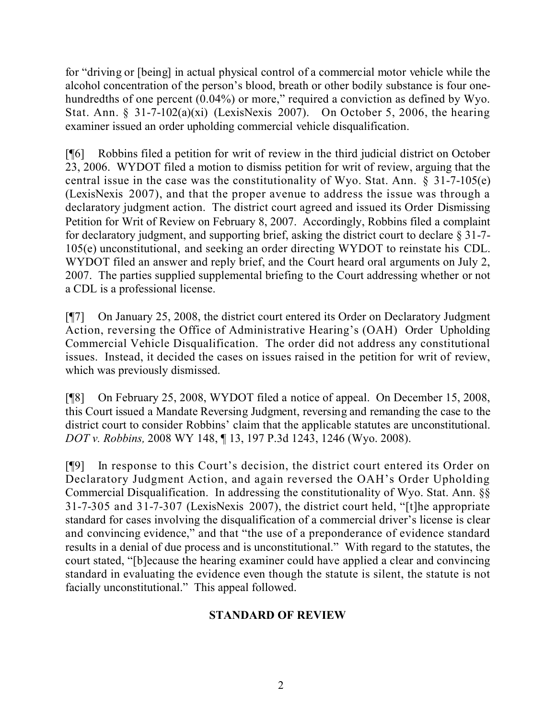for "driving or [being] in actual physical control of a commercial motor vehicle while the alcohol concentration of the person's blood, breath or other bodily substance is four onehundredths of one percent (0.04%) or more," required a conviction as defined by Wyo. Stat. Ann. § 31-7-102(a)(xi) (LexisNexis 2007). On October 5, 2006, the hearing examiner issued an order upholding commercial vehicle disqualification.

[¶6] Robbins filed a petition for writ of review in the third judicial district on October 23, 2006. WYDOT filed a motion to dismiss petition for writ of review, arguing that the central issue in the case was the constitutionality of Wyo. Stat. Ann. § 31-7-105(e) (LexisNexis 2007), and that the proper avenue to address the issue was through a declaratory judgment action. The district court agreed and issued its Order Dismissing Petition for Writ of Review on February 8, 2007. Accordingly, Robbins filed a complaint for declaratory judgment, and supporting brief, asking the district court to declare § 31-7- 105(e) unconstitutional, and seeking an order directing WYDOT to reinstate his CDL. WYDOT filed an answer and reply brief, and the Court heard oral arguments on July 2, 2007. The parties supplied supplemental briefing to the Court addressing whether or not a CDL is a professional license.

[¶7] On January 25, 2008, the district court entered its Order on Declaratory Judgment Action, reversing the Office of Administrative Hearing's (OAH) Order Upholding Commercial Vehicle Disqualification. The order did not address any constitutional issues. Instead, it decided the cases on issues raised in the petition for writ of review, which was previously dismissed.

[¶8] On February 25, 2008, WYDOT filed a notice of appeal. On December 15, 2008, this Court issued a Mandate Reversing Judgment, reversing and remanding the case to the district court to consider Robbins' claim that the applicable statutes are unconstitutional. *DOT v. Robbins,* 2008 WY 148, ¶ 13, 197 P.3d 1243, 1246 (Wyo. 2008).

[¶9] In response to this Court's decision, the district court entered its Order on Declaratory Judgment Action, and again reversed the OAH's Order Upholding Commercial Disqualification. In addressing the constitutionality of Wyo. Stat. Ann. §§ 31-7-305 and 31-7-307 (LexisNexis 2007), the district court held, "[t]he appropriate standard for cases involving the disqualification of a commercial driver's license is clear and convincing evidence," and that "the use of a preponderance of evidence standard results in a denial of due process and is unconstitutional." With regard to the statutes, the court stated, "[b]ecause the hearing examiner could have applied a clear and convincing standard in evaluating the evidence even though the statute is silent, the statute is not facially unconstitutional." This appeal followed.

# **STANDARD OF REVIEW**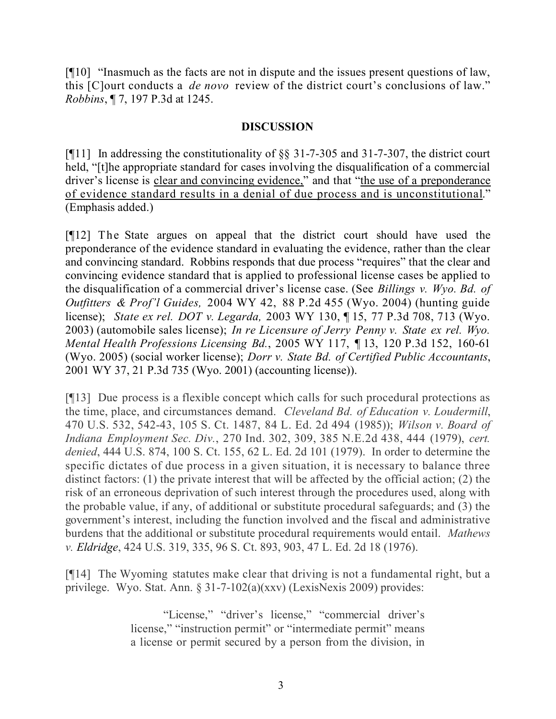[¶10] "Inasmuch as the facts are not in dispute and the issues present questions of law, this [C]ourt conducts a *de novo* review of the district court's conclusions of law." *Robbins*, ¶ 7, 197 P.3d at 1245.

## **DISCUSSION**

[¶11] In addressing the constitutionality of §§ 31-7-305 and 31-7-307, the district court held, "[t]he appropriate standard for cases involving the disqualification of a commercial driver's license is clear and convincing evidence," and that "the use of a preponderance of evidence standard results in a denial of due process and is unconstitutional." (Emphasis added.)

[¶12] The State argues on appeal that the district court should have used the preponderance of the evidence standard in evaluating the evidence, rather than the clear and convincing standard. Robbins responds that due process "requires" that the clear and convincing evidence standard that is applied to professional license cases be applied to the disqualification of a commercial driver's license case. (See *Billings v. Wyo. Bd. of Outfitters & Prof'l Guides,* 2004 WY 42, 88 P.2d 455 (Wyo. 2004) (hunting guide license); *State ex rel. DOT v. Legarda,* 2003 WY 130, ¶ 15, 77 P.3d 708, 713 (Wyo. 2003) (automobile sales license); *In re Licensure of Jerry Penny v. State ex rel. Wyo. Mental Health Professions Licensing Bd.*, 2005 WY 117, *¶* 13, 120 P.3d 152, 160-61 (Wyo. 2005) (social worker license); *Dorr v. State Bd. of Certified Public Accountants*, 2001 WY 37, 21 P.3d 735 (Wyo. 2001) (accounting license)).

[¶13] Due process is a flexible concept which calls for such procedural protections as the time, place, and circumstances demand. *Cleveland Bd. of Education v. Loudermill*, 470 U.S. 532, 542-43, 105 S. Ct. 1487, 84 L. Ed. 2d 494 (1985)); *Wilson v. Board of Indiana Employment Sec. Div.*, 270 Ind. 302, 309, 385 N.E.2d 438, 444 (1979), *cert. denied*, 444 U.S. 874, 100 S. Ct. 155, 62 L. Ed. 2d 101 (1979). In order to determine the specific dictates of due process in a given situation, it is necessary to balance three distinct factors: (1) the private interest that will be affected by the official action; (2) the risk of an erroneous deprivation of such interest through the procedures used, along with the probable value, if any, of additional or substitute procedural safeguards; and (3) the government's interest, including the function involved and the fiscal and administrative burdens that the additional or substitute procedural requirements would entail. *Mathews v. Eldridge*, 424 U.S. 319, 335, 96 S. Ct. 893, 903, 47 L. Ed. 2d 18 (1976).

[¶14] The Wyoming statutes make clear that driving is not a fundamental right, but a privilege. Wyo. Stat. Ann. § 31-7-102(a)(xxv) (LexisNexis 2009) provides:

> "License," "driver's license," "commercial driver's license," "instruction permit" or "intermediate permit" means a license or permit secured by a person from the division, in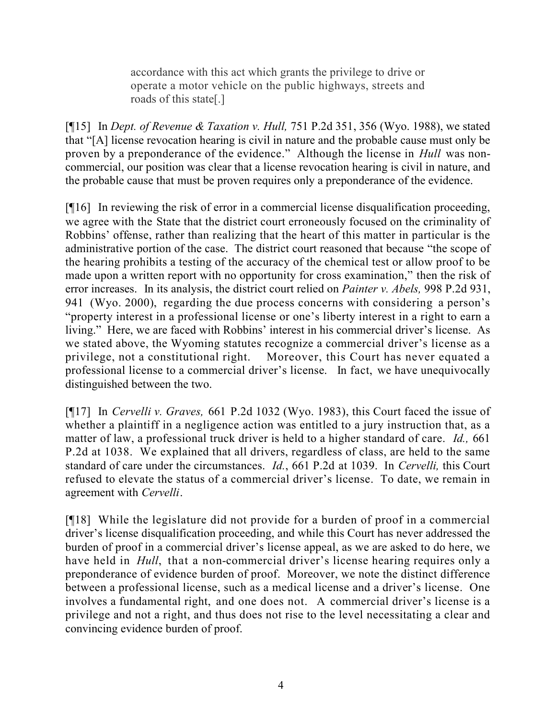accordance with this act which grants the privilege to drive or operate a motor vehicle on the public highways, streets and roads of this state[.]

[¶15] In *Dept. of Revenue & Taxation v. Hull,* 751 P.2d 351, 356 (Wyo. 1988), we stated that "[A] license revocation hearing is civil in nature and the probable cause must only be proven by a preponderance of the evidence." Although the license in *Hull* was noncommercial, our position was clear that a license revocation hearing is civil in nature, and the probable cause that must be proven requires only a preponderance of the evidence.

[¶16] In reviewing the risk of error in a commercial license disqualification proceeding, we agree with the State that the district court erroneously focused on the criminality of Robbins' offense, rather than realizing that the heart of this matter in particular is the administrative portion of the case. The district court reasoned that because "the scope of the hearing prohibits a testing of the accuracy of the chemical test or allow proof to be made upon a written report with no opportunity for cross examination," then the risk of error increases. In its analysis, the district court relied on *Painter v. Abels,* 998 P.2d 931, 941 (Wyo. 2000), regarding the due process concerns with considering a person's "property interest in a professional license or one's liberty interest in a right to earn a living." Here, we are faced with Robbins' interest in his commercial driver's license. As we stated above, the Wyoming statutes recognize a commercial driver's license as a privilege, not a constitutional right. Moreover, this Court has never equated a professional license to a commercial driver's license. In fact, we have unequivocally distinguished between the two.

[¶17] In *Cervelli v. Graves,* 661 P.2d 1032 (Wyo. 1983), this Court faced the issue of whether a plaintiff in a negligence action was entitled to a jury instruction that, as a matter of law, a professional truck driver is held to a higher standard of care. *Id.,* 661 P.2d at 1038. We explained that all drivers, regardless of class, are held to the same standard of care under the circumstances. *Id.*, 661 P.2d at 1039. In *Cervelli,* this Court refused to elevate the status of a commercial driver's license. To date, we remain in agreement with *Cervelli*.

[¶18] While the legislature did not provide for a burden of proof in a commercial driver's license disqualification proceeding, and while this Court has never addressed the burden of proof in a commercial driver's license appeal, as we are asked to do here, we have held in *Hull*, that a non-commercial driver's license hearing requires only a preponderance of evidence burden of proof. Moreover, we note the distinct difference between a professional license, such as a medical license and a driver's license. One involves a fundamental right, and one does not. A commercial driver's license is a privilege and not a right, and thus does not rise to the level necessitating a clear and convincing evidence burden of proof.